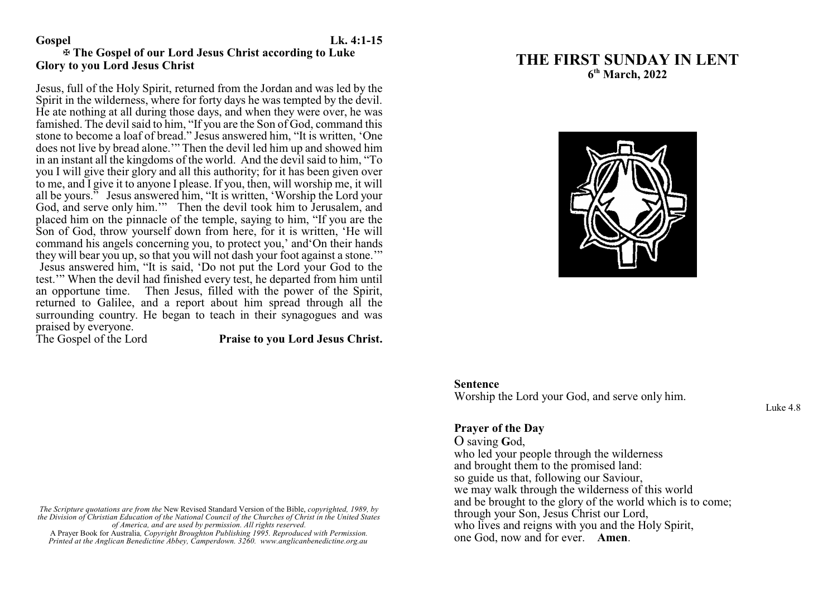### **Gospel Lk. 4:1-15**

# a **The Gospel of our Lord Jesus Christ according to Luke Glory to you Lord Jesus Christ**

Jesus, full of the Holy Spirit, returned from the Jordan and was led by the Spirit in the wilderness, where for forty days he was tempted by the devil. He ate nothing at all during those days, and when they were over, he was famished. The devil said to him, "If you are the Son of God, command this stone to become a loaf of bread." Jesus answered him, "It is written, 'One does not live by bread alone.'" Then the devil led him up and showed him in an instant all the kingdoms of the world. And the devil said to him, "To you I will give their glory and all this authority; for it has been given over to me, and I give it to anyone I please. If you, then, will worship me, it will all be yours." Jesus answered him, "It is written, 'Worship the Lord your God, and serve only him.'" Then the devil took him to Jerusalem, and placed him on the pinnacle of the temple, saying to him, "If you are the Son of God, throw yourself down from here, for it is written, 'He will command his angels concerning you, to protect you,' and'On their hands they will bear you up, so that you will not dash your foot against a stone.'" Jesus answered him, "It is said, 'Do not put the Lord your God to the test.'" When the devil had finished every test, he departed from him until an opportune time. Then Jesus, filled with the power of the Spirit, returned to Galilee, and a report about him spread through all the surrounding country. He began to teach in their synagogues and was praised by everyone.<br>The Gospel of the Lord

Praise to you Lord Jesus Christ.

*The Scripture quotations are from the* New Revised Standard Version of the Bible, *copyrighted, 1989, by the Division of Christian Education of the National Council of the Churches of Christ in the United States of America, and are used by permission. All rights reserved.* A Prayer Book for Australia*, Copyright Broughton Publishing 1995. Reproduced with Permission.*

*Printed at the Anglican Benedictine Abbey, Camperdown. 3260. www.anglicanbenedictine.org.au*

# **THE FIRST SUNDAY IN LENT 6 th March, 2022**



### **Sentence**

Worship the Lord your God, and serve only him.

Luke 4.8

# **Prayer of the Day**

O saving **G**od, who led your people through the wilderness and brought them to the promised land: so guide us that, following our Saviour, we may walk through the wilderness of this world and be brought to the glory of the world which is to come; through your Son, Jesus Christ our Lord, who lives and reigns with you and the Holy Spirit, one God, now and for ever. **Amen**.